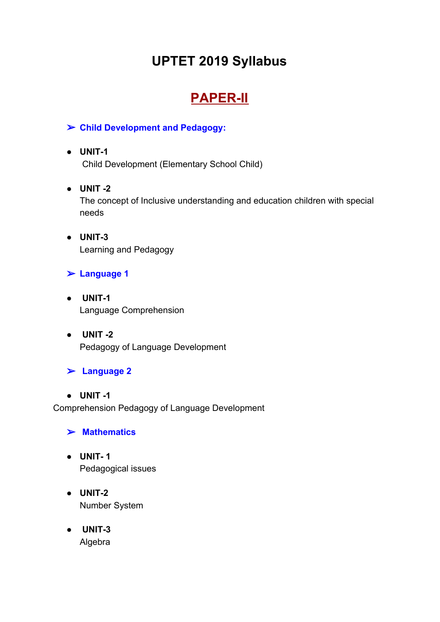# **UPTET 2019 Syllabus**

# **PAPER-II**

#### ➢ **Child Development and Pedagogy:**

## **● UNIT-1**

Child Development (Elementary School Child)

### **● UNIT -2**

The concept of Inclusive understanding and education children with special needs

- **● UNIT-3** Learning and Pedagogy
- ➢ **Language 1**
- **UNIT-1** Language Comprehension
- **UNIT -2** Pedagogy of Language Development

### ➢ **Language 2**

#### **● UNIT -1** Comprehension Pedagogy of Language Development

### ➢ **Mathematics**

- **● UNIT- 1** Pedagogical issues
- **● UNIT-2** Number System
- **UNIT-3** Algebra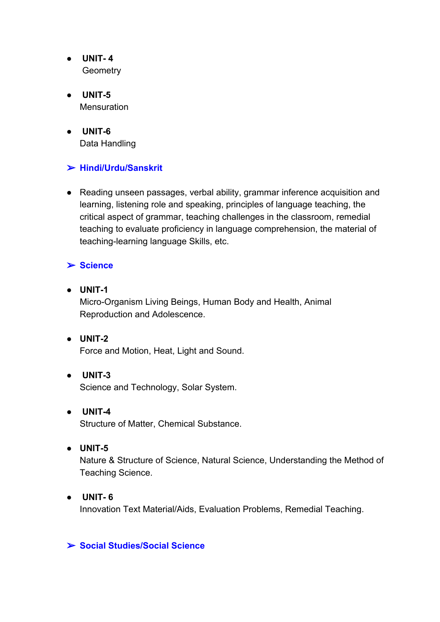- **UNIT- 4 Geometry**
- **UNIT-5 Mensuration**
- **UNIT-6** Data Handling

### ➢ **Hindi/Urdu/Sanskrit**

● Reading unseen passages, verbal ability, grammar inference acquisition and learning, listening role and speaking, principles of language teaching, the critical aspect of grammar, teaching challenges in the classroom, remedial teaching to evaluate proficiency in language comprehension, the material of teaching-learning language Skills, etc.

#### ➢ **Science**

- **● UNIT-1** Micro-Organism Living Beings, Human Body and Health, Animal Reproduction and Adolescence.
- **● UNIT-2** Force and Motion, Heat, Light and Sound.
- **UNIT-3** Science and Technology, Solar System.
- **UNIT-4** Structure of Matter, Chemical Substance.
- **● UNIT-5**

Nature & Structure of Science, Natural Science, Understanding the Method of Teaching Science.

**● UNIT- 6** Innovation Text Material/Aids, Evaluation Problems, Remedial Teaching.

#### ➢ **Social Studies/Social Science**